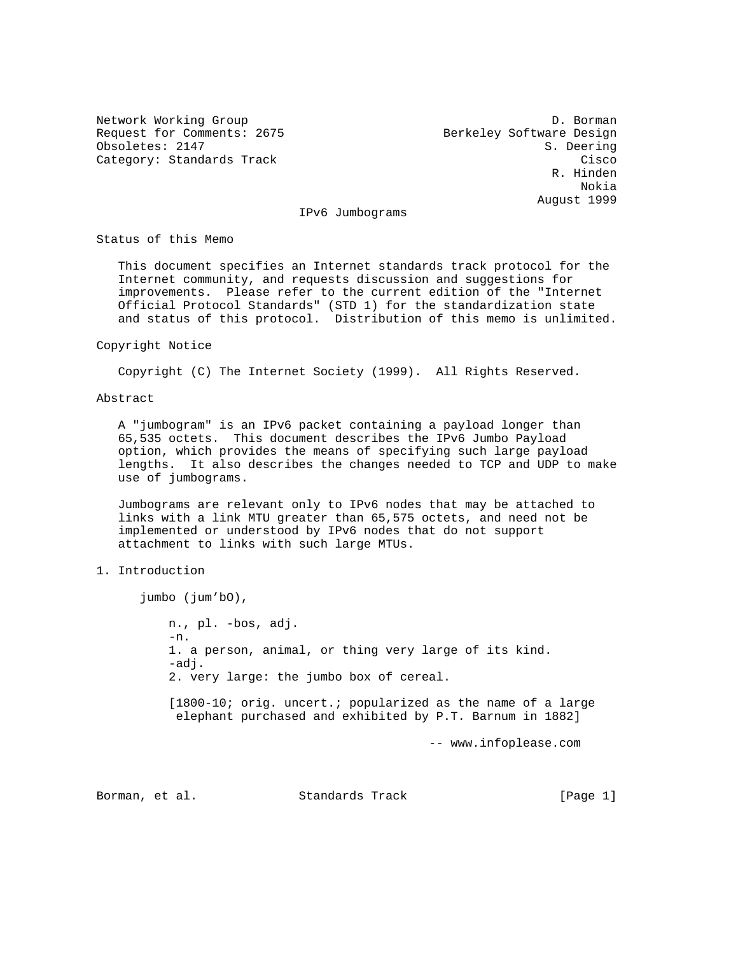Request for Comments: 2675 Berkeley Software Design Obsoletes: 2147 S. Deering

Network Working Group D. Borman Category: Standards Track Cisco Cisco Cisco Cisco Cisco Cisco Cisco Cisco Cisco Cisco Cisco R. Hinden Nokia August 1999

IPv6 Jumbograms

Status of this Memo

 This document specifies an Internet standards track protocol for the Internet community, and requests discussion and suggestions for improvements. Please refer to the current edition of the "Internet Official Protocol Standards" (STD 1) for the standardization state and status of this protocol. Distribution of this memo is unlimited.

#### Copyright Notice

Copyright (C) The Internet Society (1999). All Rights Reserved.

Abstract

 A "jumbogram" is an IPv6 packet containing a payload longer than 65,535 octets. This document describes the IPv6 Jumbo Payload option, which provides the means of specifying such large payload lengths. It also describes the changes needed to TCP and UDP to make use of jumbograms.

 Jumbograms are relevant only to IPv6 nodes that may be attached to links with a link MTU greater than 65,575 octets, and need not be implemented or understood by IPv6 nodes that do not support attachment to links with such large MTUs.

# 1. Introduction

jumbo (jum'bO),

 n., pl. -bos, adj. -n. 1. a person, animal, or thing very large of its kind. -adj. 2. very large: the jumbo box of cereal. [1800-10; orig. uncert.; popularized as the name of a large elephant purchased and exhibited by P.T. Barnum in 1882]

-- www.infoplease.com

Borman, et al. Standards Track [Page 1]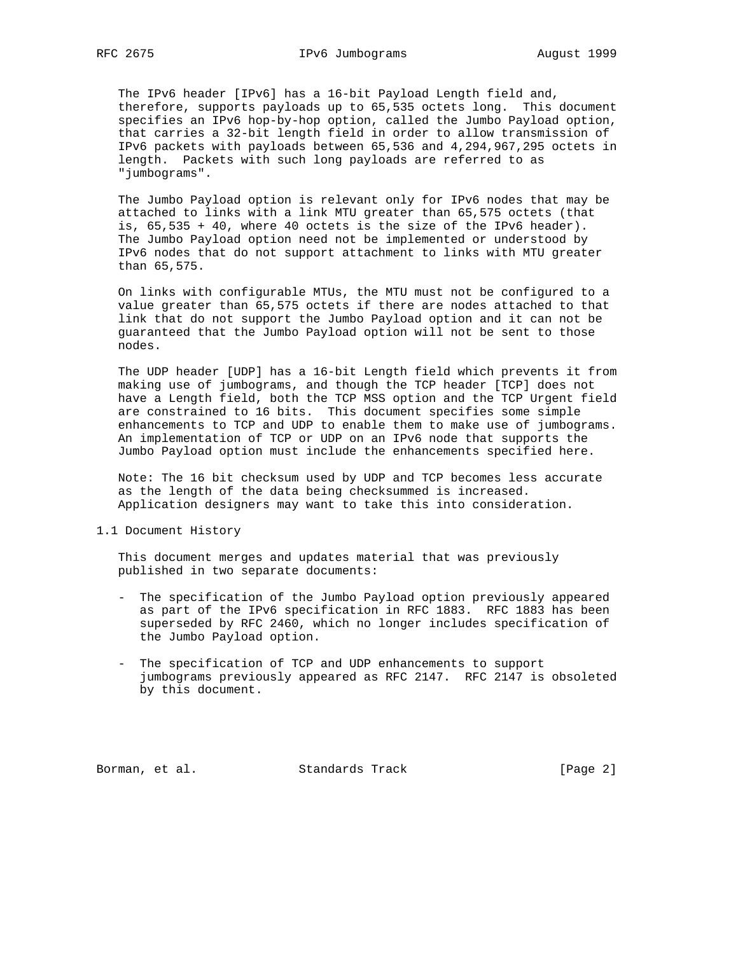The IPv6 header [IPv6] has a 16-bit Payload Length field and, therefore, supports payloads up to 65,535 octets long. This document specifies an IPv6 hop-by-hop option, called the Jumbo Payload option, that carries a 32-bit length field in order to allow transmission of IPv6 packets with payloads between 65,536 and 4,294,967,295 octets in length. Packets with such long payloads are referred to as "jumbograms".

 The Jumbo Payload option is relevant only for IPv6 nodes that may be attached to links with a link MTU greater than 65,575 octets (that is, 65,535 + 40, where 40 octets is the size of the IPv6 header). The Jumbo Payload option need not be implemented or understood by IPv6 nodes that do not support attachment to links with MTU greater than 65,575.

 On links with configurable MTUs, the MTU must not be configured to a value greater than 65,575 octets if there are nodes attached to that link that do not support the Jumbo Payload option and it can not be guaranteed that the Jumbo Payload option will not be sent to those nodes.

 The UDP header [UDP] has a 16-bit Length field which prevents it from making use of jumbograms, and though the TCP header [TCP] does not have a Length field, both the TCP MSS option and the TCP Urgent field are constrained to 16 bits. This document specifies some simple enhancements to TCP and UDP to enable them to make use of jumbograms. An implementation of TCP or UDP on an IPv6 node that supports the Jumbo Payload option must include the enhancements specified here.

 Note: The 16 bit checksum used by UDP and TCP becomes less accurate as the length of the data being checksummed is increased. Application designers may want to take this into consideration.

1.1 Document History

 This document merges and updates material that was previously published in two separate documents:

- The specification of the Jumbo Payload option previously appeared as part of the IPv6 specification in RFC 1883. RFC 1883 has been superseded by RFC 2460, which no longer includes specification of the Jumbo Payload option.
- The specification of TCP and UDP enhancements to support jumbograms previously appeared as RFC 2147. RFC 2147 is obsoleted by this document.

Borman, et al. Standards Track [Page 2]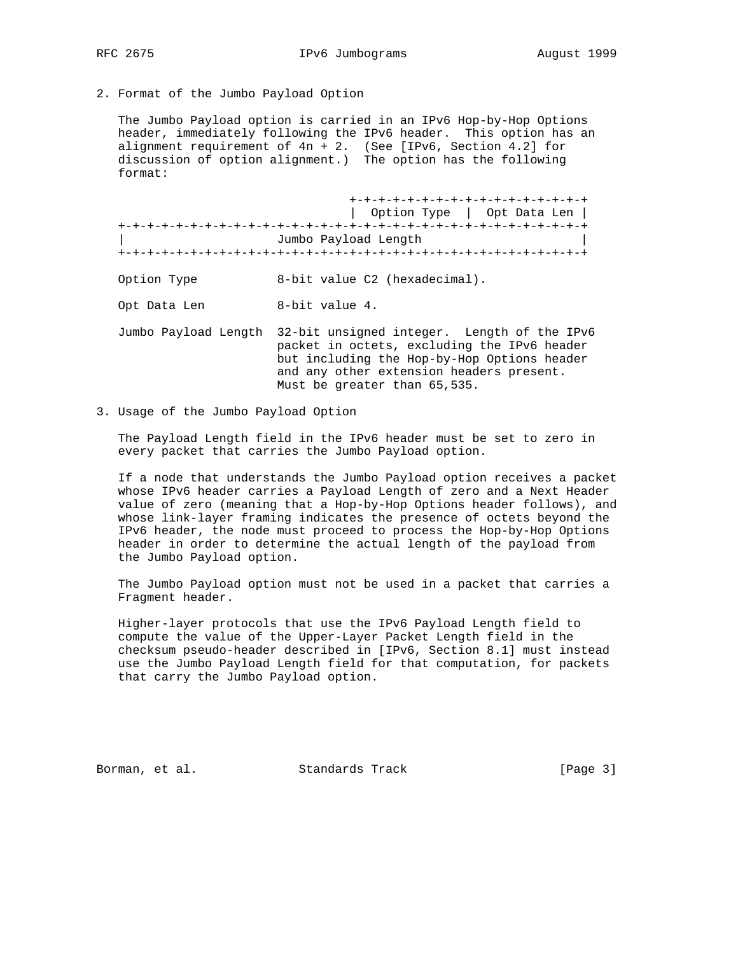2. Format of the Jumbo Payload Option

 The Jumbo Payload option is carried in an IPv6 Hop-by-Hop Options header, immediately following the IPv6 header. This option has an alignment requirement of 4n + 2. (See [IPv6, Section 4.2] for discussion of option alignment.) The option has the following format:

|                      | +-+-+-+-+-+-+-+-+-+-+-+-+-+-+-+-+-+<br>Option Type   Opt Data Len                                                                                                                     |
|----------------------|---------------------------------------------------------------------------------------------------------------------------------------------------------------------------------------|
|                      | Jumbo Payload Length                                                                                                                                                                  |
| Option Type          | 8-bit value C2 (hexadecimal).                                                                                                                                                         |
| Opt Data Len         | 8-bit value 4.                                                                                                                                                                        |
| Jumbo Payload Length | 32-bit unsigned integer. Length of the IPv6<br>packet in octets, excluding the IPv6 header<br>but including the Hop-by-Hop Options header<br>and any other extension headers present. |

3. Usage of the Jumbo Payload Option

 The Payload Length field in the IPv6 header must be set to zero in every packet that carries the Jumbo Payload option.

Must be greater than 65,535.

 If a node that understands the Jumbo Payload option receives a packet whose IPv6 header carries a Payload Length of zero and a Next Header value of zero (meaning that a Hop-by-Hop Options header follows), and whose link-layer framing indicates the presence of octets beyond the IPv6 header, the node must proceed to process the Hop-by-Hop Options header in order to determine the actual length of the payload from the Jumbo Payload option.

 The Jumbo Payload option must not be used in a packet that carries a Fragment header.

 Higher-layer protocols that use the IPv6 Payload Length field to compute the value of the Upper-Layer Packet Length field in the checksum pseudo-header described in [IPv6, Section 8.1] must instead use the Jumbo Payload Length field for that computation, for packets that carry the Jumbo Payload option.

Borman, et al. Standards Track [Page 3]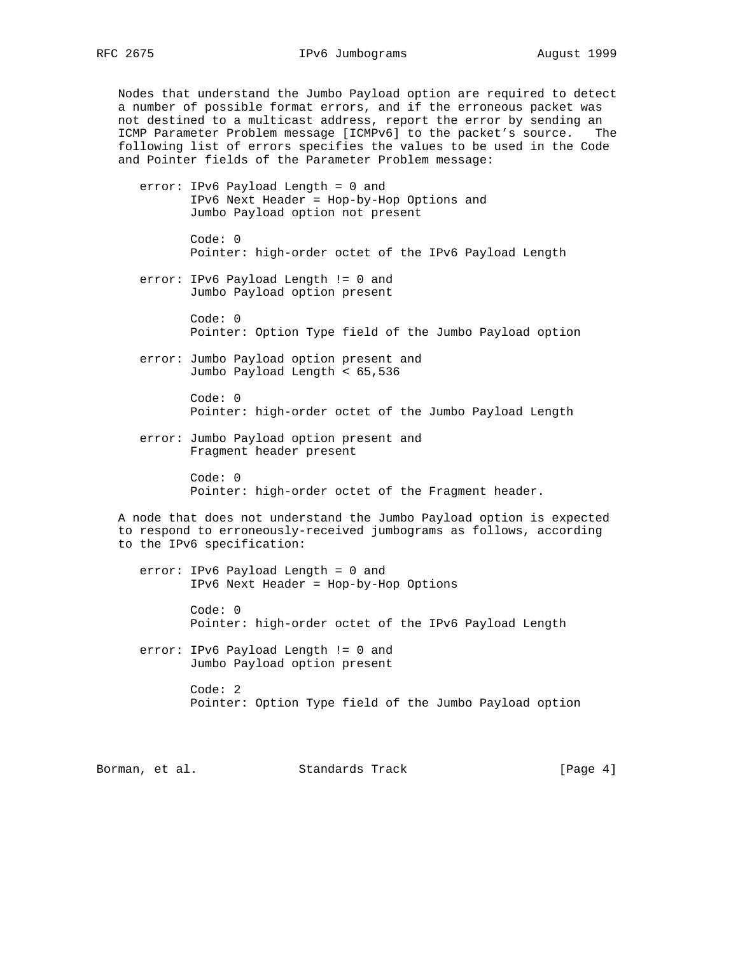Nodes that understand the Jumbo Payload option are required to detect a number of possible format errors, and if the erroneous packet was not destined to a multicast address, report the error by sending an ICMP Parameter Problem message [ICMPv6] to the packet's source. The following list of errors specifies the values to be used in the Code and Pointer fields of the Parameter Problem message:

- error: IPv6 Payload Length = 0 and IPv6 Next Header = Hop-by-Hop Options and Jumbo Payload option not present
	- Code: 0 Pointer: high-order octet of the IPv6 Payload Length
- error: IPv6 Payload Length != 0 and Jumbo Payload option present
	- Code: 0 Pointer: Option Type field of the Jumbo Payload option
- error: Jumbo Payload option present and Jumbo Payload Length < 65,536

 Code: 0 Pointer: high-order octet of the Jumbo Payload Length

 error: Jumbo Payload option present and Fragment header present

> Code: 0 Pointer: high-order octet of the Fragment header.

 A node that does not understand the Jumbo Payload option is expected to respond to erroneously-received jumbograms as follows, according to the IPv6 specification:

 error: IPv6 Payload Length = 0 and IPv6 Next Header = Hop-by-Hop Options

> Code: 0 Pointer: high-order octet of the IPv6 Payload Length

 error: IPv6 Payload Length != 0 and Jumbo Payload option present

> Code: 2 Pointer: Option Type field of the Jumbo Payload option

Borman, et al. Standards Track [Page 4]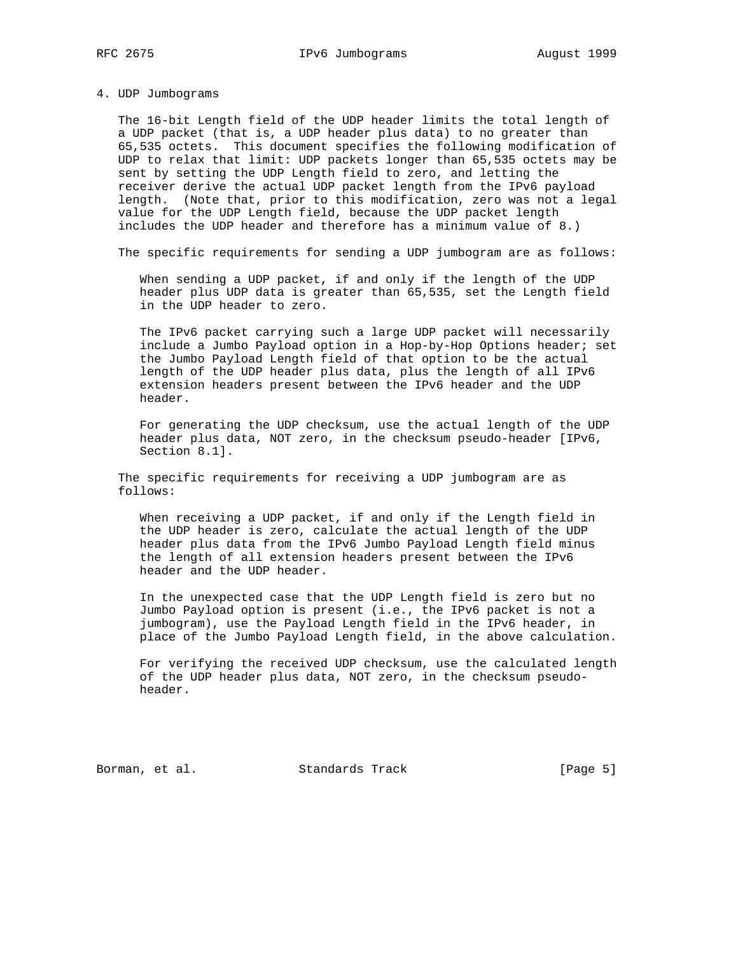### 4. UDP Jumbograms

 The 16-bit Length field of the UDP header limits the total length of a UDP packet (that is, a UDP header plus data) to no greater than 65,535 octets. This document specifies the following modification of UDP to relax that limit: UDP packets longer than 65,535 octets may be sent by setting the UDP Length field to zero, and letting the receiver derive the actual UDP packet length from the IPv6 payload length. (Note that, prior to this modification, zero was not a legal value for the UDP Length field, because the UDP packet length includes the UDP header and therefore has a minimum value of 8.)

The specific requirements for sending a UDP jumbogram are as follows:

 When sending a UDP packet, if and only if the length of the UDP header plus UDP data is greater than 65,535, set the Length field in the UDP header to zero.

 The IPv6 packet carrying such a large UDP packet will necessarily include a Jumbo Payload option in a Hop-by-Hop Options header; set the Jumbo Payload Length field of that option to be the actual length of the UDP header plus data, plus the length of all IPv6 extension headers present between the IPv6 header and the UDP header.

 For generating the UDP checksum, use the actual length of the UDP header plus data, NOT zero, in the checksum pseudo-header [IPv6, Section 8.1].

 The specific requirements for receiving a UDP jumbogram are as follows:

 When receiving a UDP packet, if and only if the Length field in the UDP header is zero, calculate the actual length of the UDP header plus data from the IPv6 Jumbo Payload Length field minus the length of all extension headers present between the IPv6 header and the UDP header.

 In the unexpected case that the UDP Length field is zero but no Jumbo Payload option is present (i.e., the IPv6 packet is not a jumbogram), use the Payload Length field in the IPv6 header, in place of the Jumbo Payload Length field, in the above calculation.

 For verifying the received UDP checksum, use the calculated length of the UDP header plus data, NOT zero, in the checksum pseudo header.

Borman, et al. Standards Track [Page 5]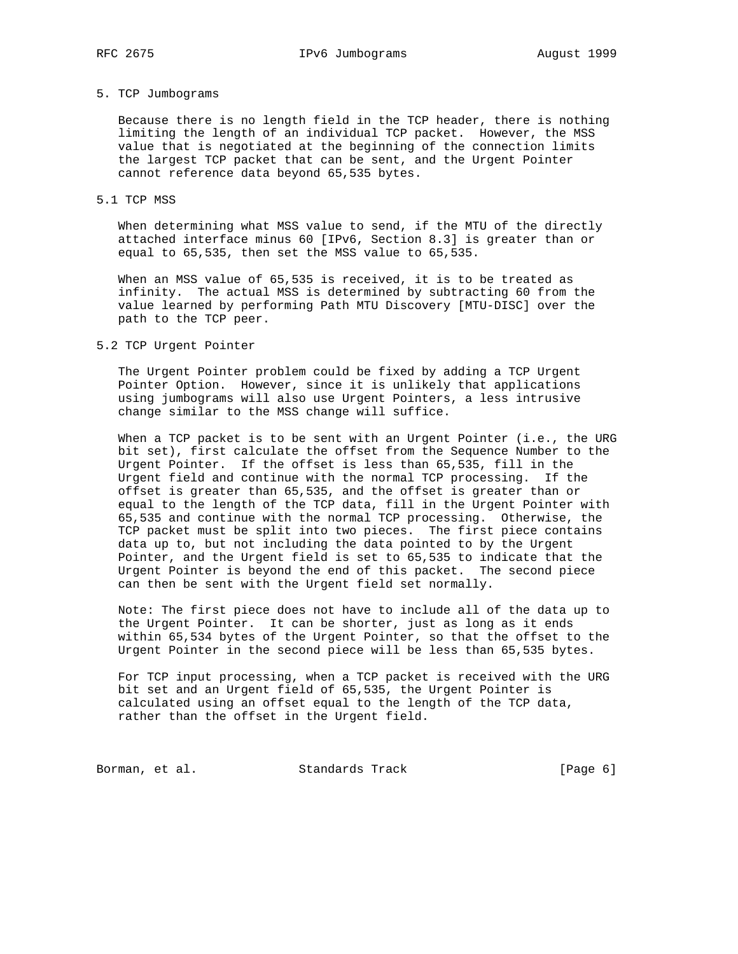### 5. TCP Jumbograms

 Because there is no length field in the TCP header, there is nothing limiting the length of an individual TCP packet. However, the MSS value that is negotiated at the beginning of the connection limits the largest TCP packet that can be sent, and the Urgent Pointer cannot reference data beyond 65,535 bytes.

### 5.1 TCP MSS

 When determining what MSS value to send, if the MTU of the directly attached interface minus 60 [IPv6, Section 8.3] is greater than or equal to 65,535, then set the MSS value to 65,535.

 When an MSS value of 65,535 is received, it is to be treated as infinity. The actual MSS is determined by subtracting 60 from the value learned by performing Path MTU Discovery [MTU-DISC] over the path to the TCP peer.

#### 5.2 TCP Urgent Pointer

 The Urgent Pointer problem could be fixed by adding a TCP Urgent Pointer Option. However, since it is unlikely that applications using jumbograms will also use Urgent Pointers, a less intrusive change similar to the MSS change will suffice.

 When a TCP packet is to be sent with an Urgent Pointer (i.e., the URG bit set), first calculate the offset from the Sequence Number to the Urgent Pointer. If the offset is less than 65,535, fill in the Urgent field and continue with the normal TCP processing. If the offset is greater than 65,535, and the offset is greater than or equal to the length of the TCP data, fill in the Urgent Pointer with 65,535 and continue with the normal TCP processing. Otherwise, the TCP packet must be split into two pieces. The first piece contains data up to, but not including the data pointed to by the Urgent Pointer, and the Urgent field is set to 65,535 to indicate that the Urgent Pointer is beyond the end of this packet. The second piece can then be sent with the Urgent field set normally.

 Note: The first piece does not have to include all of the data up to the Urgent Pointer. It can be shorter, just as long as it ends within 65,534 bytes of the Urgent Pointer, so that the offset to the Urgent Pointer in the second piece will be less than 65,535 bytes.

 For TCP input processing, when a TCP packet is received with the URG bit set and an Urgent field of 65,535, the Urgent Pointer is calculated using an offset equal to the length of the TCP data, rather than the offset in the Urgent field.

Borman, et al. Standards Track (Page 6)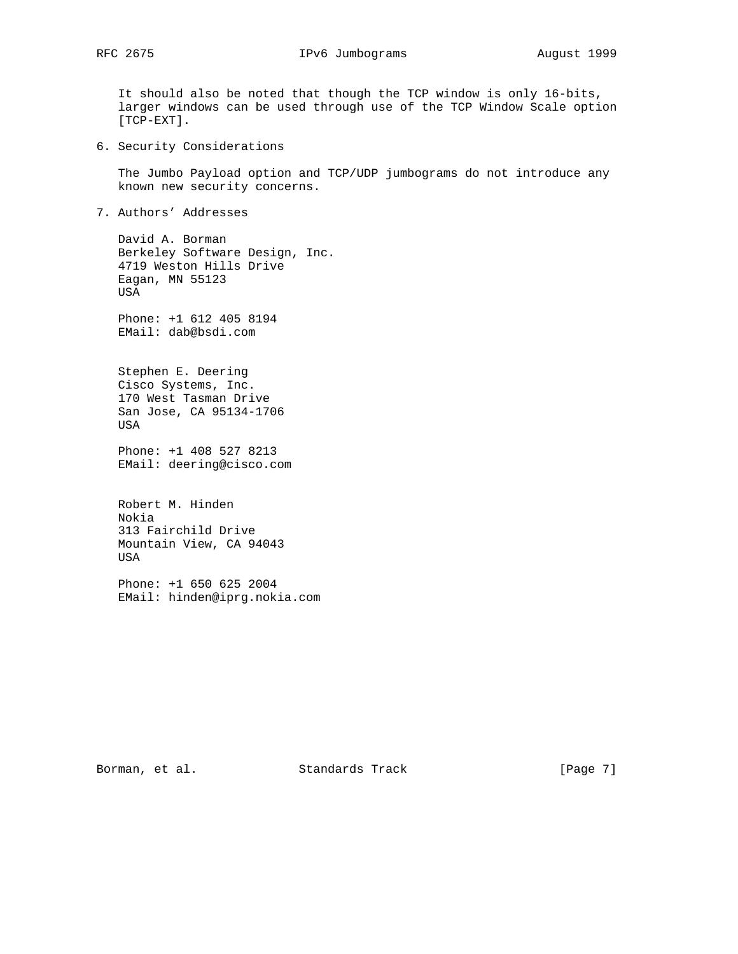- It should also be noted that though the TCP window is only 16-bits, larger windows can be used through use of the TCP Window Scale option [TCP-EXT].
- 6. Security Considerations

 The Jumbo Payload option and TCP/UDP jumbograms do not introduce any known new security concerns.

7. Authors' Addresses

 David A. Borman Berkeley Software Design, Inc. 4719 Weston Hills Drive Eagan, MN 55123 USA

 Phone: +1 612 405 8194 EMail: dab@bsdi.com

 Stephen E. Deering Cisco Systems, Inc. 170 West Tasman Drive San Jose, CA 95134-1706 USA

 Phone: +1 408 527 8213 EMail: deering@cisco.com

 Robert M. Hinden Nokia 313 Fairchild Drive Mountain View, CA 94043 USA

 Phone: +1 650 625 2004 EMail: hinden@iprg.nokia.com

Borman, et al. Standards Track [Page 7]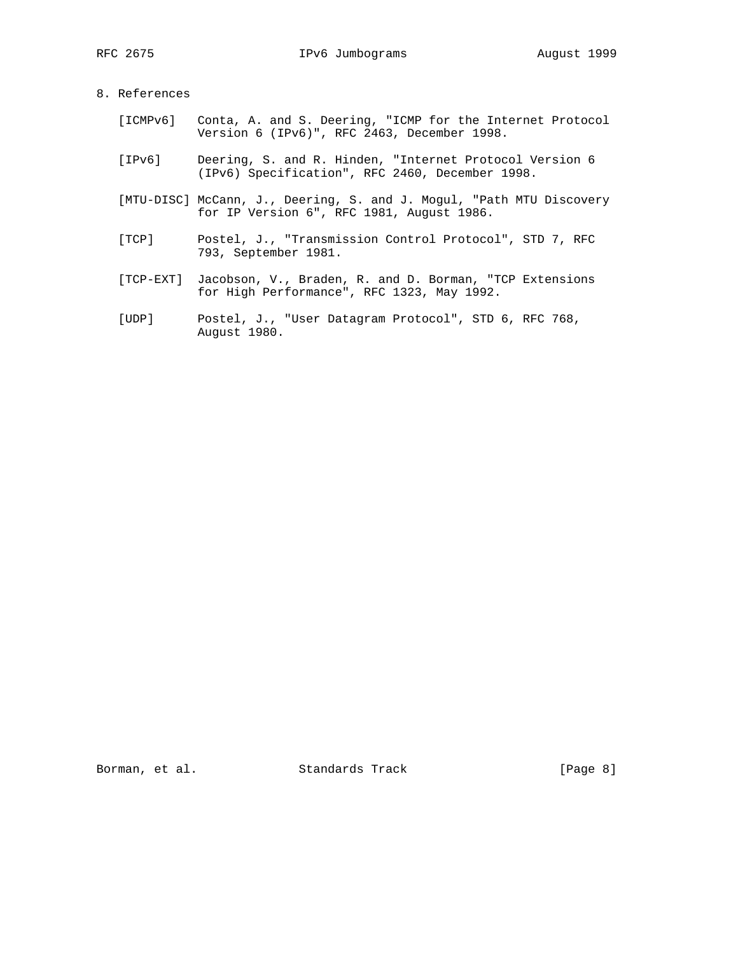# 8. References

- [ICMPv6] Conta, A. and S. Deering, "ICMP for the Internet Protocol Version 6 (IPv6)", RFC 2463, December 1998.
- [IPv6] Deering, S. and R. Hinden, "Internet Protocol Version 6 (IPv6) Specification", RFC 2460, December 1998.
- [MTU-DISC] McCann, J., Deering, S. and J. Mogul, "Path MTU Discovery for IP Version 6", RFC 1981, August 1986.
- [TCP] Postel, J., "Transmission Control Protocol", STD 7, RFC 793, September 1981.
- [TCP-EXT] Jacobson, V., Braden, R. and D. Borman, "TCP Extensions for High Performance", RFC 1323, May 1992.
- [UDP] Postel, J., "User Datagram Protocol", STD 6, RFC 768, August 1980.

Borman, et al. Standards Track [Page 8]